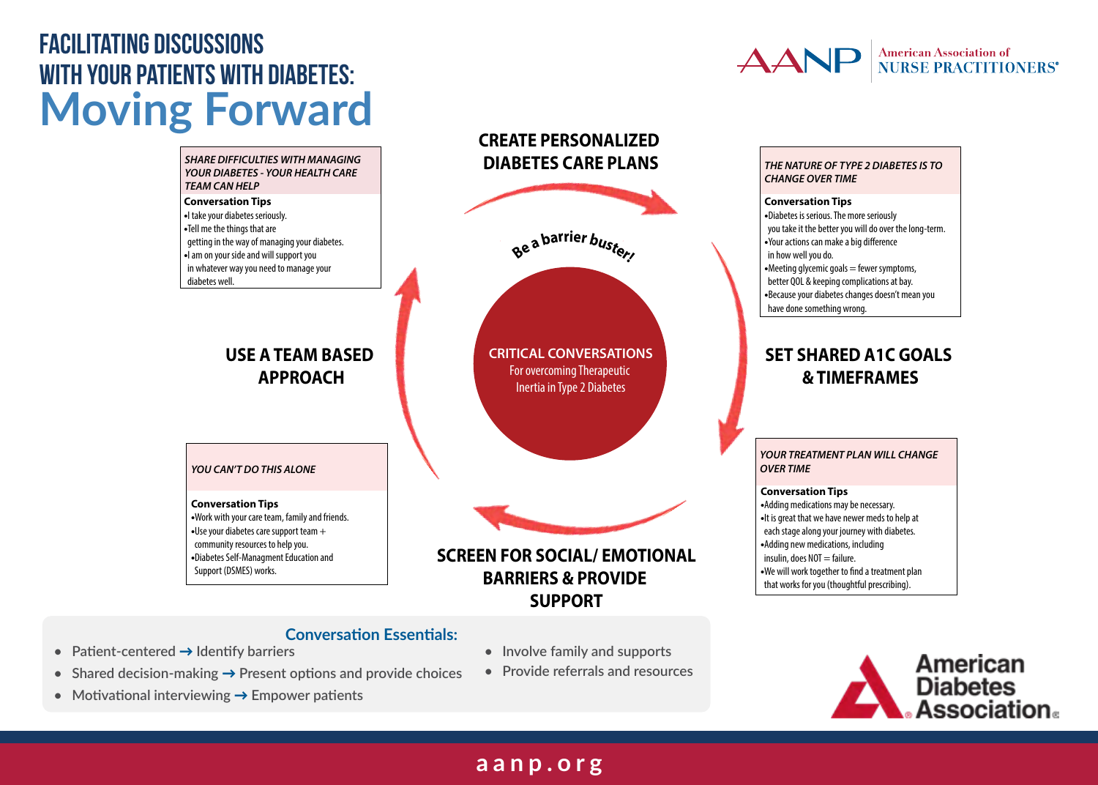## **Facilitating Discussions With Your Patients With Diabetes: Moving Forward With Your Patients With Diabetes:**

#### *SHARE DIFFICULTIES WITH MANAGING*  **SHARE DIFFICULTIES WITH MANAGING<br>YOUR DIABETES - YOUR HEALTH CARE<br>TEAM CAN HELP** *TEAM CAN HELP*

#### **Conversation Tips •**I take your diabetes seriously. **•**Tell me the things that are getting in the way of managing your diabetes. **•** I am on your side and will support you It im on your side and will support you<br>
in whatever way you need to manage your<br>
diabetes well. diabetes well.

## **USE A TEAM BASED APPROACH USE A TEAM BASED APPROACH**

# *YOU CAN'T DO THIS ALONE* 3 **YOU CAN'T DO THIS ALONE**

#### **Conversation Tips •**Work with your care team, family and friends. **•**Use your diabetes care support team + community resources to help you. team + community resources to help you. **•**Diabetes Self-Managment Education and Support (DSMES) works.  $\frac{1}{\sqrt{2}}$ MSG: Diabetes Self-Managment

## **CRITICAL CONVERSATIONS For overcoming Therapeutic<br>
for Outputie in Type 2 Diabetes** Inertia in Type 2 Diabetes **SCREEN FOR SOCIAL/ EMOTIONAL**  $T_{\text{max}}$   $T_{\text{max}}$  increasing  $T_{\text{max}}$ Type 2 Diabetes **OVER TIME YOUR TREATMENT PLAN AND STUDIES**

**<sup>B</sup><sup>e</sup> <sup>a</sup> <sup>b</sup>arrie<sup>r</sup> <sup>b</sup>uster!**

**<sup>B</sup><sup>e</sup> <sup>a</sup> <sup>b</sup>arrie<sup>r</sup> <sup>b</sup>uster!**

**CREATE PERSONALIZED DIABETES CARE PLANS**

**CREATE PERSONALIZED DIABETES CARE PLANS**

## **BARRIERS & PROVIDE & PROVIDE SUPPORT SUPPORT**

## **Conversation Essentials:**

**• Patient-centered** → **Identify barriers**

MSG: Work with your care team,

- **• Shared decision-making** → **Present options and provide choices**
- **• Motivational interviewing** → **Empower patients**
- **• Involve family and supports**
- **• Provide referrals and resources**

# **American Association of<br>NURSE PRACTITIONERS**

#### **THE NATURE OF TYPE 2 DIABETES IS TO** *CHANGE OVER TIME*  $\blacksquare$

#### **Conversation Tips •**Diabetes is serious. The more seriously  $\bullet$  planetes is serious. The more seriously<br>you take it the better you will do over the long-term. •Your actions can make a big difference

 in how well you do. •Meeting glycemic goals = fewer symptoms. **better QOL & keeping complications at bay.** •• Meeting glycemic goals = fewer symptoms,<br>better QOL & keeping complications at bay.<br>• Because your diabetes changes doesn't mean you have done something wrong.

#### **SET SHARED A1C GOALS & TIMEFRAMES SET SHARED A1C GOALS & TIMEFRAMES**

*YOUR TREATMENT PLAN WILL CHANGE OVER TIME*

#### **Conversation Tips**

**•**Adding medications may be necessary. • It is great that we have newer meds to help at each stage along your journey with diabetes. •Adding new medications, including **Material Control** mading new medications, medicing<br>
insulin, does NOT = failure. •We will work together to find a treatment plan that works for you (thoughtful prescribing).



## **aanp.org aanp.org**